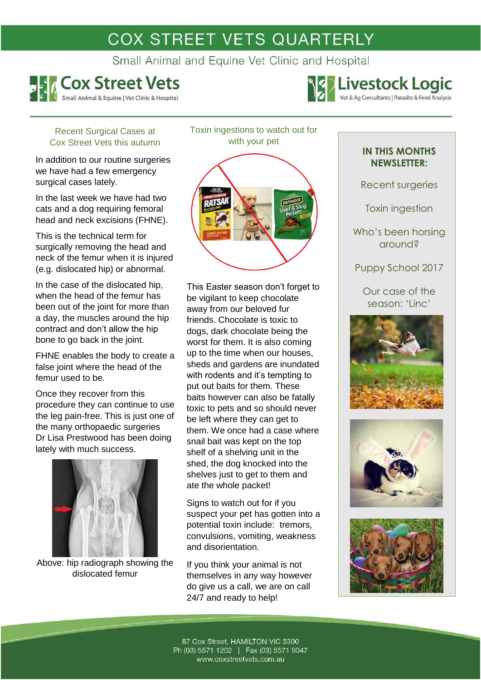# COX STREET VETS QUARTERLY

Small Animal and Equine Vet Clinic and Hospital



**Example 3 2 Second Service Second Analysis** 

### Recent Surgical Cases at Cox Street Vets this autumn

In addition to our routine surgeries we have had a few emergency surgical cases lately.

In the last week we have had two cats and a dog requiring femoral head and neck excisions (FHNE).

This is the technical term for surgically removing the head and neck of the femur when it is injured (e.g. dislocated hip) or abnormal.

In the case of the dislocated hip, when the head of the femur has been out of the joint for more than a day, the muscles around the hip contract and don't allow the hip bone to go back in the joint.

FHNE enables the body to create a false joint where the head of the femur used to be.

Once they recover from this procedure they can continue to use the leg pain-free. This is just one of the many orthopaedic surgeries Dr Lisa Prestwood has been doing lately with much success.



Above: hip radiograph showing the dislocated femur

Toxin ingestions to watch out for with your pet

This Easter season don't forget to be vigilant to keep chocolate away from our beloved fur friends. Chocolate is toxic to dogs, dark chocolate being the worst for them. It is also coming up to the time when our houses, sheds and gardens are inundated with rodents and it's tempting to put out baits for them. These baits however can also be fatally toxic to pets and so should never be left where they can get to them. We once had a case where snail bait was kept on the top shelf of a shelving unit in the shed, the dog knocked into the shelves just to get to them and ate the whole packet!

Signs to watch out for if you suspect your pet has gotten into a potential toxin include: tremors, convulsions, vomiting, weakness and disorientation.

If you think your animal is not themselves in any way however do give us a call, we are on call 24/7 and ready to help!

## **IN THIS MONTHS NEWSLETTER:**

Recent surgeries

Toxin ingestion

Who's been horsing around?

Puppy School 2017

Our case of the season: 'Linc'